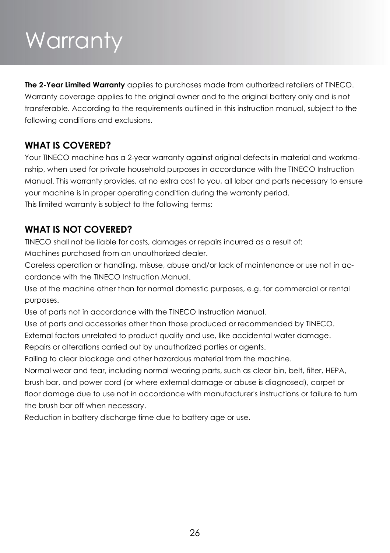# Warranty

**The 2-Year Limited Warranty** applies to purchases made from authorized retailers of TINECO. Warranty coverage applies to the original owner and to the original battery only and is not transferable. According to the requirements outlined in this instruction manual, subject to the following conditions and exclusions.

### **WHAT IS COVERED?**

Your TINECO machine has a 2-year warranty against original defects in material and workmanship, when used for private household purposes in accordance with the TINECO Instruction Manual. This warranty provides, at no extra cost to you, all labor and parts necessary to ensure your machine is in proper operating condition during the warranty period. This limited warranty is subject to the following terms:

### **WHAT IS NOT COVERED?**

TINECO shall not be liable for costs, damages or repairs incurred as a result of:

Machines purchased from an unauthorized dealer.

Careless operation or handling, misuse, abuse and/or lack of maintenance or use not in accordance with the TINECO Instruction Manual.

Use of the machine other than for normal domestic purposes, e.g. for commercial or rental purposes.

Use of parts not in accordance with the TINECO Instruction Manual.

Use of parts and accessories other than those produced or recommended by TINECO.

External factors unrelated to product quality and use, like accidental water damage.

Repairs or alterations carried out by unauthorized parties or agents.

Failing to clear blockage and other hazardous material from the machine.

Normal wear and tear, including normal wearing parts, such as clear bin, belt, filter, HEPA, brush bar, and power cord (or where external damage or abuse is diagnosed), carpet or floor damage due to use not in accordance with manufacturer's instructions or failure to turn the brush bar off when necessary.

Reduction in battery discharge time due to battery age or use.